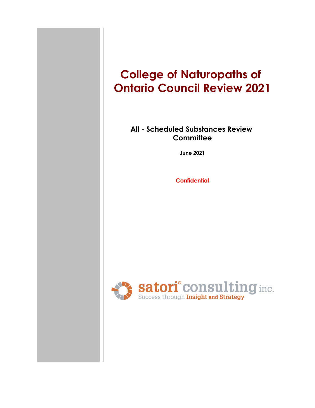# **College of Naturopaths of Ontario Council Review 2021**

### **All - Scheduled Substances Review Committee**

**June 2021**

**Confidential**

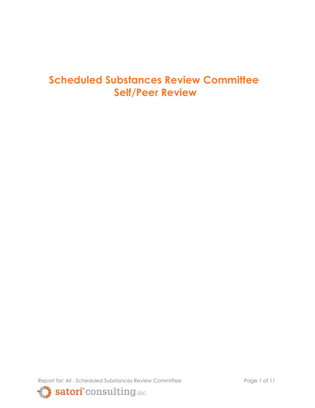# **Scheduled Substances Review Committee Self/Peer Review**

Report for: All - Scheduled Substances Review Committee Page 1 of 11

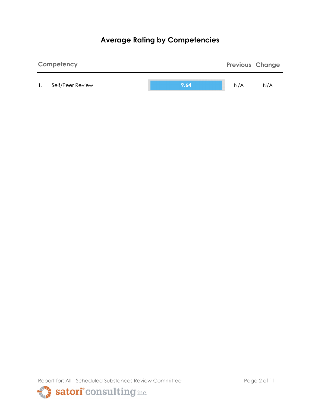# **Average Rating by Competencies**



Report for: All - Scheduled Substances Review Committee Page 2 of 11

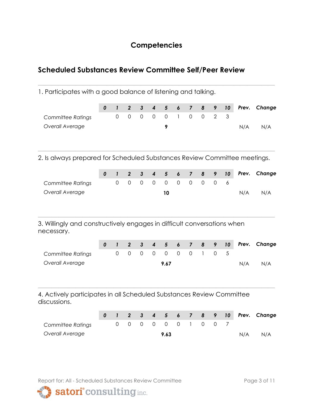### **Competencies**

**\_\_\_\_\_\_\_\_\_\_\_\_\_\_\_\_\_\_\_\_\_\_\_\_\_\_\_\_\_\_\_\_\_\_\_\_\_\_\_\_\_\_\_\_\_\_\_\_\_\_\_\_\_\_\_\_\_\_\_\_\_\_\_\_\_\_\_\_\_**

## **Scheduled Substances Review Committee Self/Peer Review**

1. Participates with a good balance of listening and talking.

|                                                                                       | 0 | $\mathbf{I}$ | $\boldsymbol{2}$    | $\mathbf{3}$        | $\boldsymbol{4}$        | 5              | $\boldsymbol{6}$ | $\overline{7}$ | 8            | 9              | 10 | Prev. | Change |
|---------------------------------------------------------------------------------------|---|--------------|---------------------|---------------------|-------------------------|----------------|------------------|----------------|--------------|----------------|----|-------|--------|
| <b>Committee Ratings</b>                                                              |   | $\mathbf{O}$ | $\mathsf{O}\xspace$ | $\mathsf{O}\xspace$ | $\mathsf{O}\xspace$     | $\overline{0}$ | $\mathbf{1}$     | $\mathbf 0$    | $\mathbf 0$  | $\overline{2}$ | 3  |       |        |
| Overall Average                                                                       |   |              |                     |                     |                         | 9              |                  |                |              |                |    | N/A   | N/A    |
| 2. Is always prepared for Scheduled Substances Review Committee meetings.             |   |              |                     |                     |                         |                |                  |                |              |                |    |       |        |
|                                                                                       | 0 | $\mathbf{I}$ | $\overline{2}$      | $\mathbf{3}$        | $\boldsymbol{4}$        | 5              | 6                | $\overline{7}$ | 8            | 9              | 10 | Prev. | Change |
| Committee Ratings                                                                     |   | $\mathbf 0$  | $\mathsf{O}\xspace$ | $\mathsf{O}\xspace$ | $\mathbf 0$             | $\mathbf 0$    | $\mathbf 0$      | $\mathbf 0$    | $\mathbf 0$  | $\mathbf 0$    | 6  |       |        |
| Overall Average                                                                       |   |              |                     |                     |                         | 10             |                  |                |              |                |    | N/A   | N/A    |
| 3. Willingly and constructively engages in difficult conversations when<br>necessary. |   |              |                     |                     |                         |                |                  |                |              |                |    |       |        |
|                                                                                       | 0 | $\mathbf{I}$ | $\overline{2}$      | $\mathbf{3}$        | $\overline{\mathbf{4}}$ | 5              | $\boldsymbol{6}$ | $\overline{7}$ | 8            | 9              | 10 | Prev. | Change |
| <b>Committee Ratings</b>                                                              |   | 0            | $\mathsf{O}\xspace$ | $\mathsf{O}\xspace$ | $\overline{0}$          | $\overline{O}$ | $\mathbf 0$      | $\mathbf 0$    | $\mathbf{1}$ | $\mathbf 0$    | 5  |       |        |
| Overall Average                                                                       |   |              |                     |                     |                         | 9.67           |                  |                |              |                |    | N/A   | N/A    |
| 4. Actively participates in all Scheduled Substances Review Committee                 |   |              |                     |                     |                         |                |                  |                |              |                |    |       |        |

discussions.

|                   |  |  |      |  |                     |  |     | 0 1 2 3 4 5 6 7 8 9 10 Prev. Change |
|-------------------|--|--|------|--|---------------------|--|-----|-------------------------------------|
| Committee Ratings |  |  |      |  | 0 0 0 0 0 0 1 0 0 7 |  |     |                                     |
| Overall Average   |  |  | 9.63 |  |                     |  | N/A | N/A                                 |

Report for: All - Scheduled Substances Review Committee Page 3 of 11

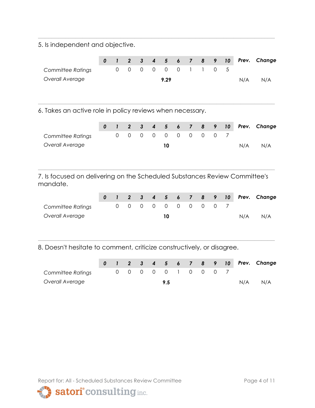5. Is independent and objective.

|                   |  |  |                     |  |  |     | 0 1 2 3 4 5 6 7 8 9 10 Prev. Change |
|-------------------|--|--|---------------------|--|--|-----|-------------------------------------|
| Committee Ratings |  |  | 0 0 0 0 0 0 1 1 0 5 |  |  |     |                                     |
| Overall Average   |  |  | 9.29                |  |  | N/A | N/A                                 |
|                   |  |  |                     |  |  |     |                                     |

**\_\_\_\_\_\_\_\_\_\_\_\_\_\_\_\_\_\_\_\_\_\_\_\_\_\_\_\_\_\_\_\_\_\_\_\_\_\_\_\_\_\_\_\_\_\_\_\_\_\_\_\_\_\_\_\_\_\_\_\_\_\_\_\_\_\_\_\_\_**

**\_\_\_\_\_\_\_\_\_\_\_\_\_\_\_\_\_\_\_\_\_\_\_\_\_\_\_\_\_\_\_\_\_\_\_\_\_\_\_\_\_\_\_\_\_\_\_\_\_\_\_\_\_\_\_\_\_\_\_\_\_\_\_\_\_\_\_\_\_**

6. Takes an active role in policy reviews when necessary.

|                   |  |  |    |  |                   |  |     | 0 1 2 3 4 5 6 7 8 9 10 Prev. Change |
|-------------------|--|--|----|--|-------------------|--|-----|-------------------------------------|
| Committee Ratings |  |  |    |  | 0 0 0 0 0 0 0 0 7 |  |     |                                     |
| Overall Average   |  |  | 10 |  |                   |  | N/A | N/A                                 |

7. Is focused on delivering on the Scheduled Substances Review Committee's mandate.

**\_\_\_\_\_\_\_\_\_\_\_\_\_\_\_\_\_\_\_\_\_\_\_\_\_\_\_\_\_\_\_\_\_\_\_\_\_\_\_\_\_\_\_\_\_\_\_\_\_\_\_\_\_\_\_\_\_\_\_\_\_\_\_\_\_\_\_\_\_**

|                   |  |  |  |  |                   |  |     | 0 1 2 3 4 5 6 7 8 9 10 Prev. Change |
|-------------------|--|--|--|--|-------------------|--|-----|-------------------------------------|
| Committee Ratings |  |  |  |  | 0 0 0 0 0 0 0 0 7 |  |     |                                     |
| Overall Average   |  |  |  |  |                   |  | N/A | N/A                                 |

**\_\_\_\_\_\_\_\_\_\_\_\_\_\_\_\_\_\_\_\_\_\_\_\_\_\_\_\_\_\_\_\_\_\_\_\_\_\_\_\_\_\_\_\_\_\_\_\_\_\_\_\_\_\_\_\_\_\_\_\_\_\_\_\_\_\_\_\_\_**

8. Doesn't hesitate to comment, criticize constructively, or disagree.

|                   |  |  |     |  |                     |  |     | 0 1 2 3 4 5 6 7 8 9 10 Prev. Change |
|-------------------|--|--|-----|--|---------------------|--|-----|-------------------------------------|
| Committee Ratings |  |  |     |  | 0 0 0 0 0 1 0 0 0 7 |  |     |                                     |
| Overall Average   |  |  | 9.5 |  |                     |  | N/A | N/A                                 |

Report for: All - Scheduled Substances Review Committee Page 4 of 11

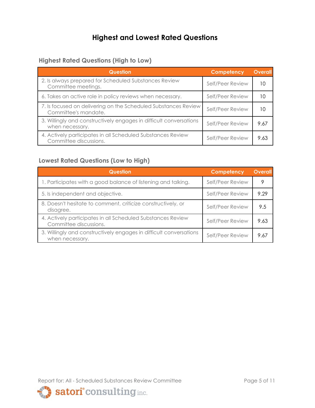# **Highest and Lowest Rated Questions**

#### **Highest Rated Questions (High to Low)**

| <b>Question</b>                                                                        | <b>Competency</b> | <b>Overall</b> |
|----------------------------------------------------------------------------------------|-------------------|----------------|
| 2. Is always prepared for Scheduled Substances Review<br>Committee meetings.           | Self/Peer Review  | 10             |
| 6. Takes an active role in policy reviews when necessary.                              | Self/Peer Review  | 10             |
| 7. Is focused on delivering on the Scheduled Substances Review<br>Committee's mandate. | Self/Peer Review  | 10             |
| 3. Willingly and constructively engages in difficult conversations<br>when necessary.  | Self/Peer Review  | 9.67           |
| 4. Actively participates in all Scheduled Substances Review<br>Committee discussions.  | Self/Peer Review  | 9.63           |

#### **Lowest Rated Questions (Low to High)**

| <b>Question</b>                                                                       | Competency       | <b>Overall</b> |
|---------------------------------------------------------------------------------------|------------------|----------------|
| 1. Participates with a good balance of listening and talking.                         | Self/Peer Review |                |
| 5. Is independent and objective.                                                      | Self/Peer Review | 9.29           |
| 8. Doesn't hesitate to comment, criticize constructively, or<br>disagree.             | Self/Peer Review | 9.5            |
| 4. Actively participates in all Scheduled Substances Review<br>Committee discussions. | Self/Peer Review | 9.63           |
| 3. Willingly and constructively engages in difficult conversations<br>when necessary. | Self/Peer Review | 9.67           |

Report for: All - Scheduled Substances Review Committee Page 5 of 11

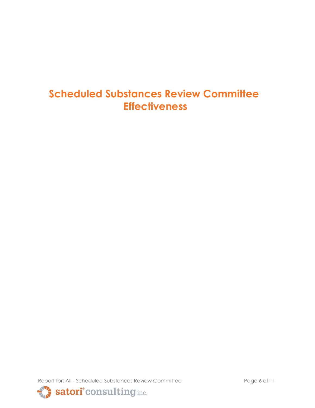# **Scheduled Substances Review Committee Effectiveness**

Report for: All - Scheduled Substances Review Committee Page 6 of 11

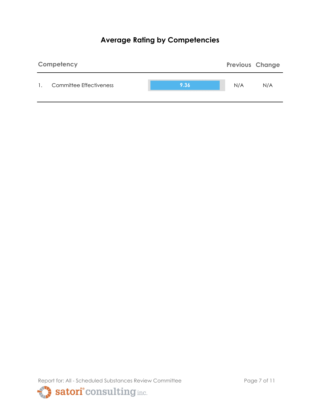# **Average Rating by Competencies**



Report for: All - Scheduled Substances Review Committee Page 7 of 11

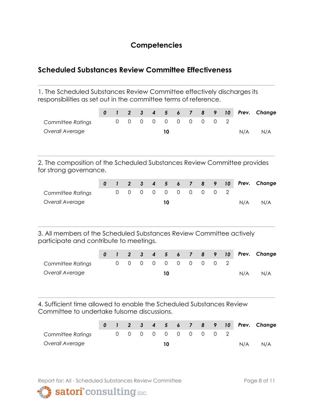### **Competencies**

**\_\_\_\_\_\_\_\_\_\_\_\_\_\_\_\_\_\_\_\_\_\_\_\_\_\_\_\_\_\_\_\_\_\_\_\_\_\_\_\_\_\_\_\_\_\_\_\_\_\_\_\_\_\_\_\_\_\_\_\_\_\_\_\_\_\_\_\_\_**

#### **Scheduled Substances Review Committee Effectiveness**

1. The Scheduled Substances Review Committee effectively discharges its responsibilities as set out in the committee terms of reference.

|                          |  |  |                     |  |  |     | 0 1 2 3 4 5 6 7 8 9 10 Prev. Change |
|--------------------------|--|--|---------------------|--|--|-----|-------------------------------------|
| <b>Committee Ratings</b> |  |  | 0 0 0 0 0 0 0 0 0 2 |  |  |     |                                     |
| Overall Average          |  |  |                     |  |  | N/A | N/A                                 |

2. The composition of the Scheduled Substances Review Committee provides for strong governance.

**\_\_\_\_\_\_\_\_\_\_\_\_\_\_\_\_\_\_\_\_\_\_\_\_\_\_\_\_\_\_\_\_\_\_\_\_\_\_\_\_\_\_\_\_\_\_\_\_\_\_\_\_\_\_\_\_\_\_\_\_\_\_\_\_\_\_\_\_\_**

|                          |  |  |                     |  |  |     | 0 1 2 3 4 5 6 7 8 9 10 Prev. Change |
|--------------------------|--|--|---------------------|--|--|-----|-------------------------------------|
| <b>Committee Ratings</b> |  |  | 0 0 0 0 0 0 0 0 0 2 |  |  |     |                                     |
| Overall Average          |  |  | 10                  |  |  | N/A | N/A                                 |

**\_\_\_\_\_\_\_\_\_\_\_\_\_\_\_\_\_\_\_\_\_\_\_\_\_\_\_\_\_\_\_\_\_\_\_\_\_\_\_\_\_\_\_\_\_\_\_\_\_\_\_\_\_\_\_\_\_\_\_\_\_\_\_\_\_\_\_\_\_**

3. All members of the Scheduled Substances Review Committee actively participate and contribute to meetings.

|                   |  |  |  |  |                   |  |     | 0 1 2 3 4 5 6 7 8 9 10 Prev. Change |
|-------------------|--|--|--|--|-------------------|--|-----|-------------------------------------|
| Committee Ratings |  |  |  |  | 0 0 0 0 0 0 0 0 2 |  |     |                                     |
| Overall Average   |  |  |  |  |                   |  | N/A | N/A                                 |

**\_\_\_\_\_\_\_\_\_\_\_\_\_\_\_\_\_\_\_\_\_\_\_\_\_\_\_\_\_\_\_\_\_\_\_\_\_\_\_\_\_\_\_\_\_\_\_\_\_\_\_\_\_\_\_\_\_\_\_\_\_\_\_\_\_\_\_\_\_**

4. Sufficient time allowed to enable the Scheduled Substances Review Committee to undertake fulsome discussions.

|                   |  |  |  |  |                   |  |     | 0 1 2 3 4 5 6 7 8 9 10 Prev. Change |
|-------------------|--|--|--|--|-------------------|--|-----|-------------------------------------|
| Committee Ratings |  |  |  |  | 0 0 0 0 0 0 0 0 2 |  |     |                                     |
| Overall Average   |  |  |  |  |                   |  | N/A | N/A                                 |

Report for: All - Scheduled Substances Review Committee Page 8 of 11

satori<sup>°</sup>consulting inc.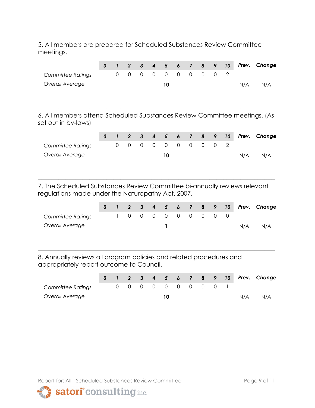5. All members are prepared for Scheduled Substances Review Committee meetings.

**\_\_\_\_\_\_\_\_\_\_\_\_\_\_\_\_\_\_\_\_\_\_\_\_\_\_\_\_\_\_\_\_\_\_\_\_\_\_\_\_\_\_\_\_\_\_\_\_\_\_\_\_\_\_\_\_\_\_\_\_\_\_\_\_\_\_\_\_\_**

|                          |  |  |                     |  |  |     | 0 1 2 3 4 5 6 7 8 9 10 Prev. Change |
|--------------------------|--|--|---------------------|--|--|-----|-------------------------------------|
| <b>Committee Ratings</b> |  |  | 0 0 0 0 0 0 0 0 0 2 |  |  |     |                                     |
| Overall Average          |  |  | 10                  |  |  | N/A | N/A                                 |
|                          |  |  |                     |  |  |     |                                     |

6. All members attend Scheduled Substances Review Committee meetings. (As set out in by-laws)

**\_\_\_\_\_\_\_\_\_\_\_\_\_\_\_\_\_\_\_\_\_\_\_\_\_\_\_\_\_\_\_\_\_\_\_\_\_\_\_\_\_\_\_\_\_\_\_\_\_\_\_\_\_\_\_\_\_\_\_\_\_\_\_\_\_\_\_\_\_**

|                   |  |  |  |  |                   |  |     | 0 1 2 3 4 5 6 7 8 9 10 Prev. Change |
|-------------------|--|--|--|--|-------------------|--|-----|-------------------------------------|
| Committee Ratings |  |  |  |  | 0 0 0 0 0 0 0 0 2 |  |     |                                     |
| Overall Average   |  |  |  |  |                   |  | N/A | N/A                                 |

7. The Scheduled Substances Review Committee bi-annually reviews relevant regulations made under the Naturopathy Act, 2007.

**\_\_\_\_\_\_\_\_\_\_\_\_\_\_\_\_\_\_\_\_\_\_\_\_\_\_\_\_\_\_\_\_\_\_\_\_\_\_\_\_\_\_\_\_\_\_\_\_\_\_\_\_\_\_\_\_\_\_\_\_\_\_\_\_\_\_\_\_\_**

|                          |  |  |  |  |                     |  |     | 0 1 2 3 4 5 6 7 8 9 10 Prev. Change |
|--------------------------|--|--|--|--|---------------------|--|-----|-------------------------------------|
| <b>Committee Ratings</b> |  |  |  |  | 1 0 0 0 0 0 0 0 0 0 |  |     |                                     |
| Overall Average          |  |  |  |  |                     |  | N/A | N/A                                 |

**\_\_\_\_\_\_\_\_\_\_\_\_\_\_\_\_\_\_\_\_\_\_\_\_\_\_\_\_\_\_\_\_\_\_\_\_\_\_\_\_\_\_\_\_\_\_\_\_\_\_\_\_\_\_\_\_\_\_\_\_\_\_\_\_\_\_\_\_\_**

8. Annually reviews all program policies and related procedures and appropriately report outcome to Council.

|                   |  |  |                   |  |  |     | 0 1 2 3 4 5 6 7 8 9 10 Prev. Change |
|-------------------|--|--|-------------------|--|--|-----|-------------------------------------|
| Committee Ratings |  |  | 0 0 0 0 0 0 0 0 1 |  |  |     |                                     |
| Overall Average   |  |  |                   |  |  | N/A | N/A                                 |

Report for: All - Scheduled Substances Review Committee Page 9 of 11

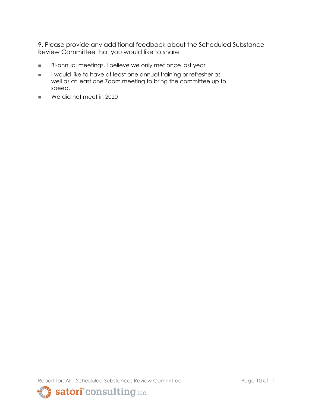9. Please provide any additional feedback about the Scheduled Substance Review Committee that you would like to share.

**\_\_\_\_\_\_\_\_\_\_\_\_\_\_\_\_\_\_\_\_\_\_\_\_\_\_\_\_\_\_\_\_\_\_\_\_\_\_\_\_\_\_\_\_\_\_\_\_\_\_\_\_\_\_\_\_\_\_\_\_\_\_\_\_\_\_\_\_\_**

- **■** Bi-annual meetings, I believe we only met once last year.
- I would like to have at least one annual training or refresher as well as at least one Zoom meeting to bring the committee up to speed.
- We did not meet in 2020

Report for: All - Scheduled Substances Review Committee Page 10 of 11